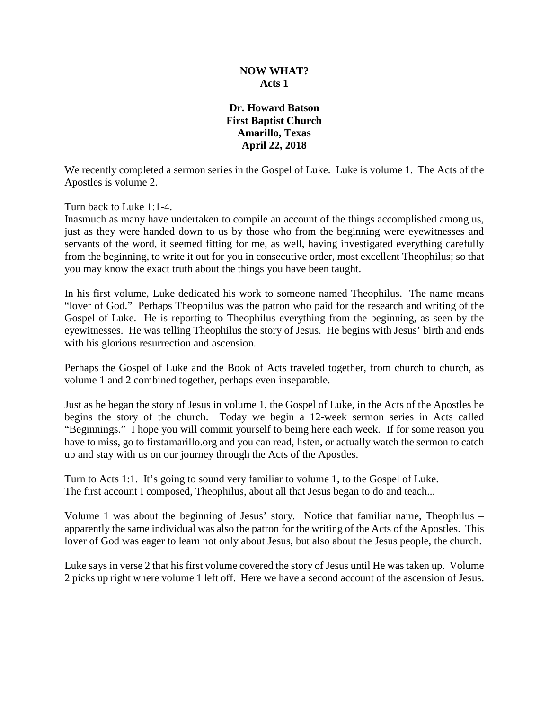# **NOW WHAT? Acts 1**

# **Dr. Howard Batson First Baptist Church Amarillo, Texas April 22, 2018**

We recently completed a sermon series in the Gospel of Luke. Luke is volume 1. The Acts of the Apostles is volume 2.

Turn back to Luke 1:1-4.

Inasmuch as many have undertaken to compile an account of the things accomplished among us, just as they were handed down to us by those who from the beginning were eyewitnesses and servants of the word, it seemed fitting for me, as well, having investigated everything carefully from the beginning, to write it out for you in consecutive order, most excellent Theophilus; so that you may know the exact truth about the things you have been taught.

In his first volume, Luke dedicated his work to someone named Theophilus. The name means "lover of God." Perhaps Theophilus was the patron who paid for the research and writing of the Gospel of Luke. He is reporting to Theophilus everything from the beginning, as seen by the eyewitnesses. He was telling Theophilus the story of Jesus. He begins with Jesus' birth and ends with his glorious resurrection and ascension.

Perhaps the Gospel of Luke and the Book of Acts traveled together, from church to church, as volume 1 and 2 combined together, perhaps even inseparable.

Just as he began the story of Jesus in volume 1, the Gospel of Luke, in the Acts of the Apostles he begins the story of the church. Today we begin a 12-week sermon series in Acts called "Beginnings." I hope you will commit yourself to being here each week. If for some reason you have to miss, go to firstamarillo.org and you can read, listen, or actually watch the sermon to catch up and stay with us on our journey through the Acts of the Apostles.

Turn to Acts 1:1. It's going to sound very familiar to volume 1, to the Gospel of Luke. The first account I composed, Theophilus, about all that Jesus began to do and teach...

Volume 1 was about the beginning of Jesus' story. Notice that familiar name, Theophilus – apparently the same individual was also the patron for the writing of the Acts of the Apostles. This lover of God was eager to learn not only about Jesus, but also about the Jesus people, the church.

Luke says in verse 2 that his first volume covered the story of Jesus until He was taken up. Volume 2 picks up right where volume 1 left off. Here we have a second account of the ascension of Jesus.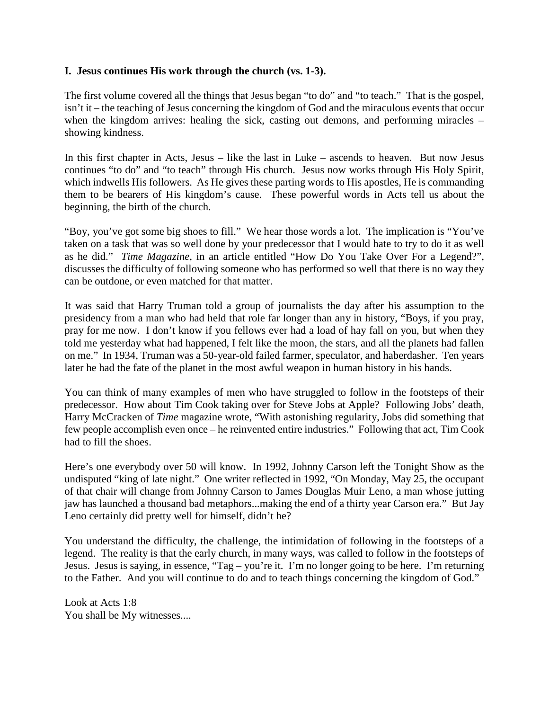## **I. Jesus continues His work through the church (vs. 1-3).**

The first volume covered all the things that Jesus began "to do" and "to teach." That is the gospel, isn't it – the teaching of Jesus concerning the kingdom of God and the miraculous events that occur when the kingdom arrives: healing the sick, casting out demons, and performing miracles – showing kindness.

In this first chapter in Acts, Jesus – like the last in Luke – ascends to heaven. But now Jesus continues "to do" and "to teach" through His church. Jesus now works through His Holy Spirit, which indwells His followers. As He gives these parting words to His apostles, He is commanding them to be bearers of His kingdom's cause. These powerful words in Acts tell us about the beginning, the birth of the church.

"Boy, you've got some big shoes to fill." We hear those words a lot. The implication is "You've taken on a task that was so well done by your predecessor that I would hate to try to do it as well as he did." *Time Magazine*, in an article entitled "How Do You Take Over For a Legend?", discusses the difficulty of following someone who has performed so well that there is no way they can be outdone, or even matched for that matter.

It was said that Harry Truman told a group of journalists the day after his assumption to the presidency from a man who had held that role far longer than any in history, "Boys, if you pray, pray for me now. I don't know if you fellows ever had a load of hay fall on you, but when they told me yesterday what had happened, I felt like the moon, the stars, and all the planets had fallen on me." In 1934, Truman was a 50-year-old failed farmer, speculator, and haberdasher. Ten years later he had the fate of the planet in the most awful weapon in human history in his hands.

You can think of many examples of men who have struggled to follow in the footsteps of their predecessor. How about Tim Cook taking over for Steve Jobs at Apple? Following Jobs' death, Harry McCracken of *Time* magazine wrote, "With astonishing regularity, Jobs did something that few people accomplish even once – he reinvented entire industries." Following that act, Tim Cook had to fill the shoes.

Here's one everybody over 50 will know. In 1992, Johnny Carson left the Tonight Show as the undisputed "king of late night." One writer reflected in 1992, "On Monday, May 25, the occupant of that chair will change from Johnny Carson to James Douglas Muir Leno, a man whose jutting jaw has launched a thousand bad metaphors...making the end of a thirty year Carson era." But Jay Leno certainly did pretty well for himself, didn't he?

You understand the difficulty, the challenge, the intimidation of following in the footsteps of a legend. The reality is that the early church, in many ways, was called to follow in the footsteps of Jesus. Jesus is saying, in essence, "Tag – you're it. I'm no longer going to be here. I'm returning to the Father. And you will continue to do and to teach things concerning the kingdom of God."

Look at Acts 1:8 You shall be My witnesses....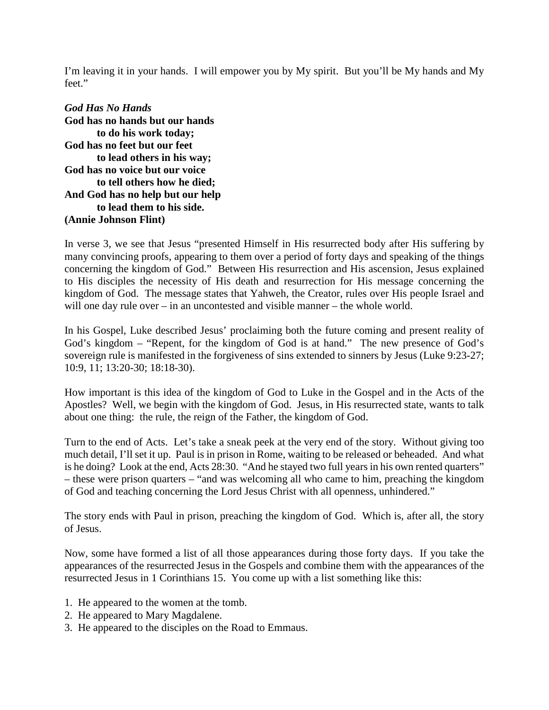I'm leaving it in your hands. I will empower you by My spirit. But you'll be My hands and My feet."

*God Has No Hands* **God has no hands but our hands to do his work today; God has no feet but our feet to lead others in his way; God has no voice but our voice to tell others how he died; And God has no help but our help to lead them to his side. (Annie Johnson Flint)**

In verse 3, we see that Jesus "presented Himself in His resurrected body after His suffering by many convincing proofs, appearing to them over a period of forty days and speaking of the things concerning the kingdom of God." Between His resurrection and His ascension, Jesus explained to His disciples the necessity of His death and resurrection for His message concerning the kingdom of God. The message states that Yahweh, the Creator, rules over His people Israel and will one day rule over – in an uncontested and visible manner – the whole world.

In his Gospel, Luke described Jesus' proclaiming both the future coming and present reality of God's kingdom – "Repent, for the kingdom of God is at hand." The new presence of God's sovereign rule is manifested in the forgiveness of sins extended to sinners by Jesus (Luke 9:23-27; 10:9, 11; 13:20-30; 18:18-30).

How important is this idea of the kingdom of God to Luke in the Gospel and in the Acts of the Apostles? Well, we begin with the kingdom of God. Jesus, in His resurrected state, wants to talk about one thing: the rule, the reign of the Father, the kingdom of God.

Turn to the end of Acts. Let's take a sneak peek at the very end of the story. Without giving too much detail, I'll set it up. Paul is in prison in Rome, waiting to be released or beheaded. And what is he doing? Look at the end, Acts 28:30. "And he stayed two full years in his own rented quarters" – these were prison quarters – "and was welcoming all who came to him, preaching the kingdom of God and teaching concerning the Lord Jesus Christ with all openness, unhindered."

The story ends with Paul in prison, preaching the kingdom of God. Which is, after all, the story of Jesus.

Now, some have formed a list of all those appearances during those forty days. If you take the appearances of the resurrected Jesus in the Gospels and combine them with the appearances of the resurrected Jesus in 1 Corinthians 15. You come up with a list something like this:

- 1. He appeared to the women at the tomb.
- 2. He appeared to Mary Magdalene.
- 3. He appeared to the disciples on the Road to Emmaus.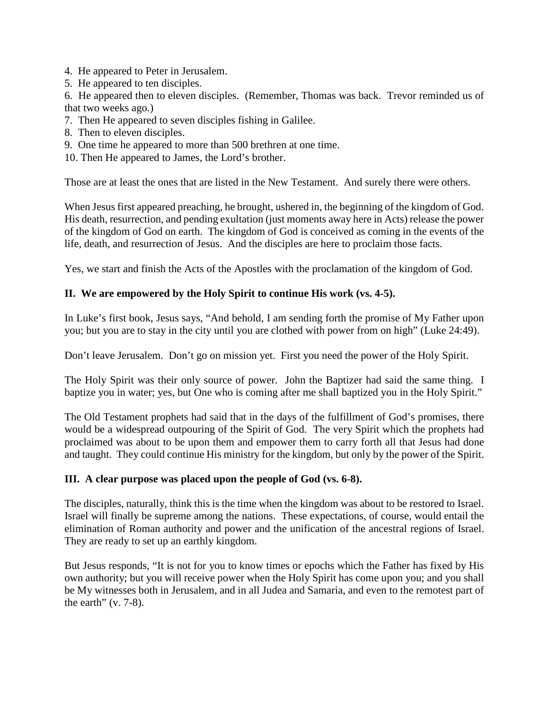- 4. He appeared to Peter in Jerusalem.
- 5. He appeared to ten disciples.

6. He appeared then to eleven disciples. (Remember, Thomas was back. Trevor reminded us of that two weeks ago.)

- 7. Then He appeared to seven disciples fishing in Galilee.
- 8. Then to eleven disciples.
- 9. One time he appeared to more than 500 brethren at one time.
- 10. Then He appeared to James, the Lord's brother.

Those are at least the ones that are listed in the New Testament. And surely there were others.

When Jesus first appeared preaching, he brought, ushered in, the beginning of the kingdom of God. His death, resurrection, and pending exultation (just moments away here in Acts) release the power of the kingdom of God on earth. The kingdom of God is conceived as coming in the events of the life, death, and resurrection of Jesus. And the disciples are here to proclaim those facts.

Yes, we start and finish the Acts of the Apostles with the proclamation of the kingdom of God.

# **II. We are empowered by the Holy Spirit to continue His work (vs. 4-5).**

In Luke's first book, Jesus says, "And behold, I am sending forth the promise of My Father upon you; but you are to stay in the city until you are clothed with power from on high" (Luke 24:49).

Don't leave Jerusalem. Don't go on mission yet. First you need the power of the Holy Spirit.

The Holy Spirit was their only source of power. John the Baptizer had said the same thing. I baptize you in water; yes, but One who is coming after me shall baptized you in the Holy Spirit."

The Old Testament prophets had said that in the days of the fulfillment of God's promises, there would be a widespread outpouring of the Spirit of God. The very Spirit which the prophets had proclaimed was about to be upon them and empower them to carry forth all that Jesus had done and taught. They could continue His ministry for the kingdom, but only by the power of the Spirit.

#### **III. A clear purpose was placed upon the people of God (vs. 6-8).**

The disciples, naturally, think this is the time when the kingdom was about to be restored to Israel. Israel will finally be supreme among the nations. These expectations, of course, would entail the elimination of Roman authority and power and the unification of the ancestral regions of Israel. They are ready to set up an earthly kingdom.

But Jesus responds, "It is not for you to know times or epochs which the Father has fixed by His own authority; but you will receive power when the Holy Spirit has come upon you; and you shall be My witnesses both in Jerusalem, and in all Judea and Samaria, and even to the remotest part of the earth"  $(v. 7-8)$ .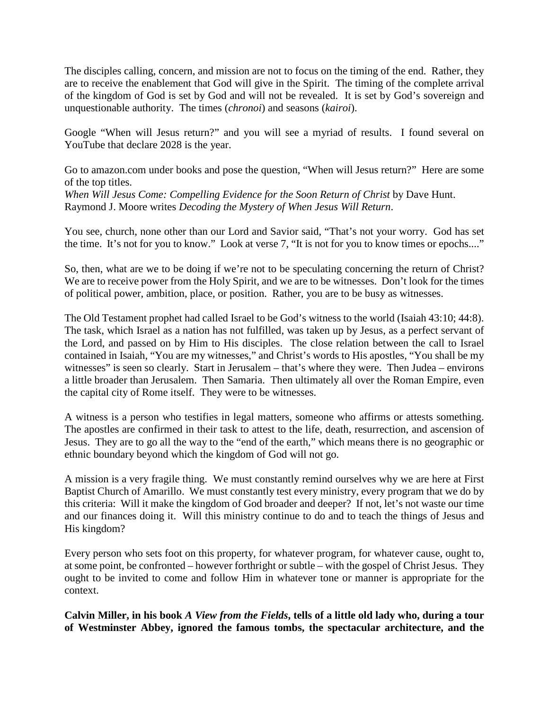The disciples calling, concern, and mission are not to focus on the timing of the end. Rather, they are to receive the enablement that God will give in the Spirit. The timing of the complete arrival of the kingdom of God is set by God and will not be revealed. It is set by God's sovereign and unquestionable authority. The times (*chronoi*) and seasons (*kairoi*).

Google "When will Jesus return?" and you will see a myriad of results. I found several on YouTube that declare 2028 is the year.

Go to amazon.com under books and pose the question, "When will Jesus return?" Here are some of the top titles.

*When Will Jesus Come: Compelling Evidence for the Soon Return of Christ* by Dave Hunt. Raymond J. Moore writes *Decoding the Mystery of When Jesus Will Return*.

You see, church, none other than our Lord and Savior said, "That's not your worry. God has set the time. It's not for you to know." Look at verse 7, "It is not for you to know times or epochs...."

So, then, what are we to be doing if we're not to be speculating concerning the return of Christ? We are to receive power from the Holy Spirit, and we are to be witnesses. Don't look for the times of political power, ambition, place, or position. Rather, you are to be busy as witnesses.

The Old Testament prophet had called Israel to be God's witness to the world (Isaiah 43:10; 44:8). The task, which Israel as a nation has not fulfilled, was taken up by Jesus, as a perfect servant of the Lord, and passed on by Him to His disciples. The close relation between the call to Israel contained in Isaiah, "You are my witnesses," and Christ's words to His apostles, "You shall be my witnesses" is seen so clearly. Start in Jerusalem – that's where they were. Then Judea – environs a little broader than Jerusalem. Then Samaria. Then ultimately all over the Roman Empire, even the capital city of Rome itself. They were to be witnesses.

A witness is a person who testifies in legal matters, someone who affirms or attests something. The apostles are confirmed in their task to attest to the life, death, resurrection, and ascension of Jesus. They are to go all the way to the "end of the earth," which means there is no geographic or ethnic boundary beyond which the kingdom of God will not go.

A mission is a very fragile thing. We must constantly remind ourselves why we are here at First Baptist Church of Amarillo. We must constantly test every ministry, every program that we do by this criteria: Will it make the kingdom of God broader and deeper? If not, let's not waste our time and our finances doing it. Will this ministry continue to do and to teach the things of Jesus and His kingdom?

Every person who sets foot on this property, for whatever program, for whatever cause, ought to, at some point, be confronted – however forthright or subtle – with the gospel of Christ Jesus. They ought to be invited to come and follow Him in whatever tone or manner is appropriate for the context.

**Calvin Miller, in his book** *A View from the Fields***, tells of a little old lady who, during a tour of Westminster Abbey, ignored the famous tombs, the spectacular architecture, and the**